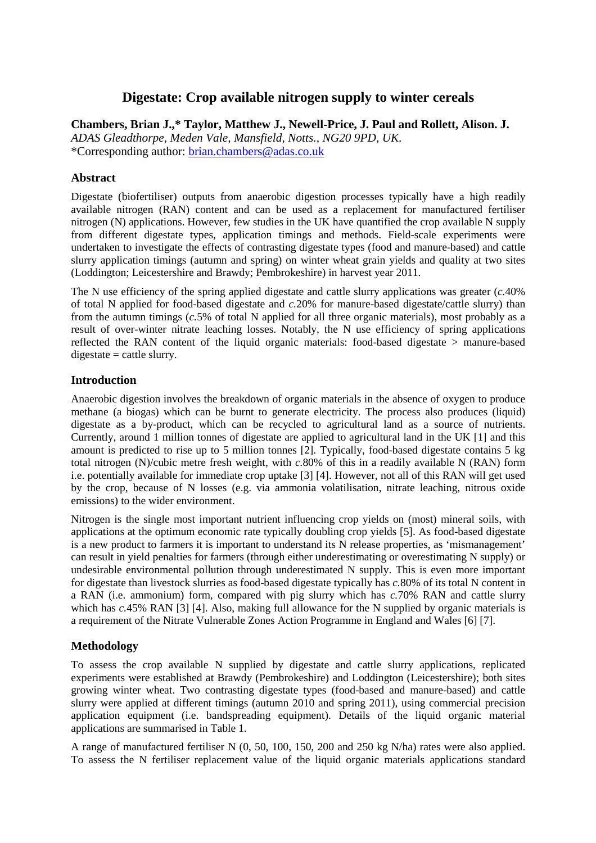# **Digestate: Crop available nitrogen supply to winter cereals**

**Chambers, Brian J.,\* Taylor, Matthew J., Newell-Price, J. Paul and Rollett, Alison. J.** 

*ADAS Gleadthorpe, Meden Vale, Mansfield, Notts., NG20 9PD, UK.*  \*Corresponding author: brian.chambers@adas.co.uk

### **Abstract**

Digestate (biofertiliser) outputs from anaerobic digestion processes typically have a high readily available nitrogen (RAN) content and can be used as a replacement for manufactured fertiliser nitrogen (N) applications. However, few studies in the UK have quantified the crop available N supply from different digestate types, application timings and methods. Field-scale experiments were undertaken to investigate the effects of contrasting digestate types (food and manure-based) and cattle slurry application timings (autumn and spring) on winter wheat grain yields and quality at two sites (Loddington; Leicestershire and Brawdy; Pembrokeshire) in harvest year 2011.

The N use efficiency of the spring applied digestate and cattle slurry applications was greater (*c.*40% of total N applied for food-based digestate and *c.*20% for manure-based digestate/cattle slurry) than from the autumn timings (*c.*5% of total N applied for all three organic materials), most probably as a result of over-winter nitrate leaching losses. Notably, the N use efficiency of spring applications reflected the RAN content of the liquid organic materials: food-based digestate > manure-based  $digestate = cattle slurry.$ 

## **Introduction**

Anaerobic digestion involves the breakdown of organic materials in the absence of oxygen to produce methane (a biogas) which can be burnt to generate electricity. The process also produces (liquid) digestate as a by-product, which can be recycled to agricultural land as a source of nutrients. Currently, around 1 million tonnes of digestate are applied to agricultural land in the UK [1] and this amount is predicted to rise up to 5 million tonnes [2]. Typically, food-based digestate contains 5 kg total nitrogen (N)/cubic metre fresh weight, with *c.*80% of this in a readily available N (RAN) form i.e. potentially available for immediate crop uptake [3] [4]. However, not all of this RAN will get used by the crop, because of N losses (e.g. via ammonia volatilisation, nitrate leaching, nitrous oxide emissions) to the wider environment.

Nitrogen is the single most important nutrient influencing crop yields on (most) mineral soils, with applications at the optimum economic rate typically doubling crop yields [5]. As food-based digestate is a new product to farmers it is important to understand its N release properties, as 'mismanagement' can result in yield penalties for farmers (through either underestimating or overestimating N supply) or undesirable environmental pollution through underestimated N supply. This is even more important for digestate than livestock slurries as food-based digestate typically has *c.*80% of its total N content in a RAN (i.e. ammonium) form, compared with pig slurry which has *c.*70% RAN and cattle slurry which has *c*.45% RAN [3] [4]. Also, making full allowance for the N supplied by organic materials is a requirement of the Nitrate Vulnerable Zones Action Programme in England and Wales [6] [7].

### **Methodology**

To assess the crop available N supplied by digestate and cattle slurry applications, replicated experiments were established at Brawdy (Pembrokeshire) and Loddington (Leicestershire); both sites growing winter wheat. Two contrasting digestate types (food-based and manure-based) and cattle slurry were applied at different timings (autumn 2010 and spring 2011), using commercial precision application equipment (i.e. bandspreading equipment). Details of the liquid organic material applications are summarised in Table 1.

A range of manufactured fertiliser N (0, 50, 100, 150, 200 and 250 kg N/ha) rates were also applied. To assess the N fertiliser replacement value of the liquid organic materials applications standard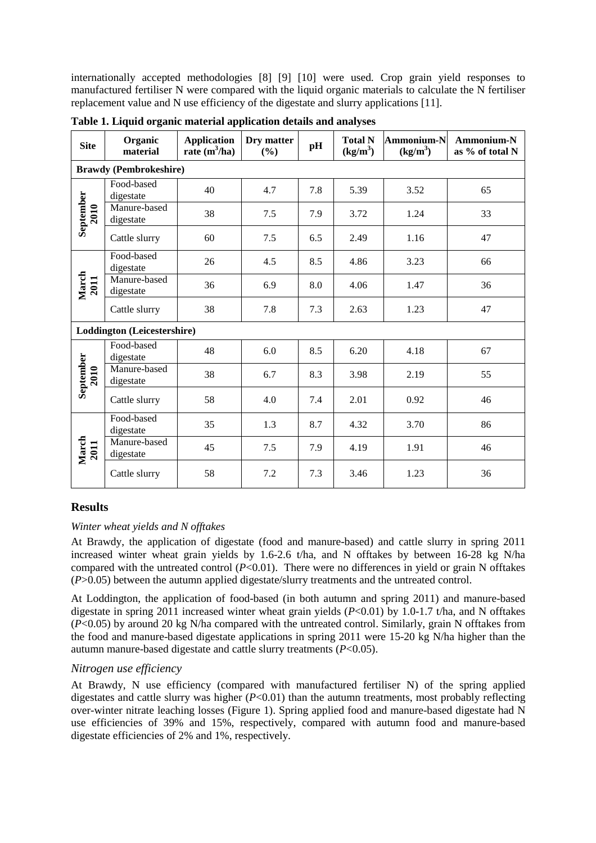internationally accepted methodologies [8] [9] [10] were used. Crop grain yield responses to manufactured fertiliser N were compared with the liquid organic materials to calculate the N fertiliser replacement value and N use efficiency of the digestate and slurry applications [11].

| <b>Site</b>                   | Organic<br>material       | <b>Application</b><br>rate $(m^3/ha)$ | Dry matter<br>(%) | pH  | <b>Total N</b><br>$(kg/m^3)$ | <b>Ammonium-N</b><br>$(kg/m^3)$ | Ammonium-N<br>as % of total N |
|-------------------------------|---------------------------|---------------------------------------|-------------------|-----|------------------------------|---------------------------------|-------------------------------|
| <b>Brawdy (Pembrokeshire)</b> |                           |                                       |                   |     |                              |                                 |                               |
| September<br>2010             | Food-based<br>digestate   | 40                                    | 4.7               | 7.8 | 5.39                         | 3.52                            | 65                            |
|                               | Manure-based<br>digestate | 38                                    | 7.5               | 7.9 | 3.72                         | 1.24                            | 33                            |
|                               | Cattle slurry             | 60                                    | 7.5               | 6.5 | 2.49                         | 1.16                            | 47                            |
| March<br>2011                 | Food-based<br>digestate   | 26                                    | 4.5               | 8.5 | 4.86                         | 3.23                            | 66                            |
|                               | Manure-based<br>digestate | 36                                    | 6.9               | 8.0 | 4.06                         | 1.47                            | 36                            |
|                               | Cattle slurry             | 38                                    | 7.8               | 7.3 | 2.63                         | 1.23                            | 47                            |
| Loddington (Leicestershire)   |                           |                                       |                   |     |                              |                                 |                               |
| September<br>2010             | Food-based<br>digestate   | 48                                    | 6.0               | 8.5 | 6.20                         | 4.18                            | 67                            |
|                               | Manure-based<br>digestate | 38                                    | 6.7               | 8.3 | 3.98                         | 2.19                            | 55                            |
|                               | Cattle slurry             | 58                                    | 4.0               | 7.4 | 2.01                         | 0.92                            | 46                            |
| March<br>2011                 | Food-based<br>digestate   | 35                                    | 1.3               | 8.7 | 4.32                         | 3.70                            | 86                            |
|                               | Manure-based<br>digestate | 45                                    | 7.5               | 7.9 | 4.19                         | 1.91                            | 46                            |
|                               | Cattle slurry             | 58                                    | 7.2               | 7.3 | 3.46                         | 1.23                            | 36                            |

**Table 1. Liquid organic material application details and analyses** 

# **Results**

### *Winter wheat yields and N offtakes*

At Brawdy, the application of digestate (food and manure-based) and cattle slurry in spring 2011 increased winter wheat grain yields by 1.6-2.6 t/ha, and N offtakes by between 16-28 kg N/ha compared with the untreated control (*P*<0.01). There were no differences in yield or grain N offtakes (*P*>0.05) between the autumn applied digestate/slurry treatments and the untreated control.

At Loddington, the application of food-based (in both autumn and spring 2011) and manure-based digestate in spring 2011 increased winter wheat grain yields (*P*<0.01) by 1.0-1.7 t/ha, and N offtakes (*P*<0.05) by around 20 kg N/ha compared with the untreated control. Similarly, grain N offtakes from the food and manure-based digestate applications in spring 2011 were 15-20 kg N/ha higher than the autumn manure-based digestate and cattle slurry treatments (*P*<0.05).

### *Nitrogen use efficiency*

At Brawdy, N use efficiency (compared with manufactured fertiliser N) of the spring applied digestates and cattle slurry was higher (*P*<0.01) than the autumn treatments, most probably reflecting over-winter nitrate leaching losses (Figure 1). Spring applied food and manure-based digestate had N use efficiencies of 39% and 15%, respectively, compared with autumn food and manure-based digestate efficiencies of 2% and 1%, respectively.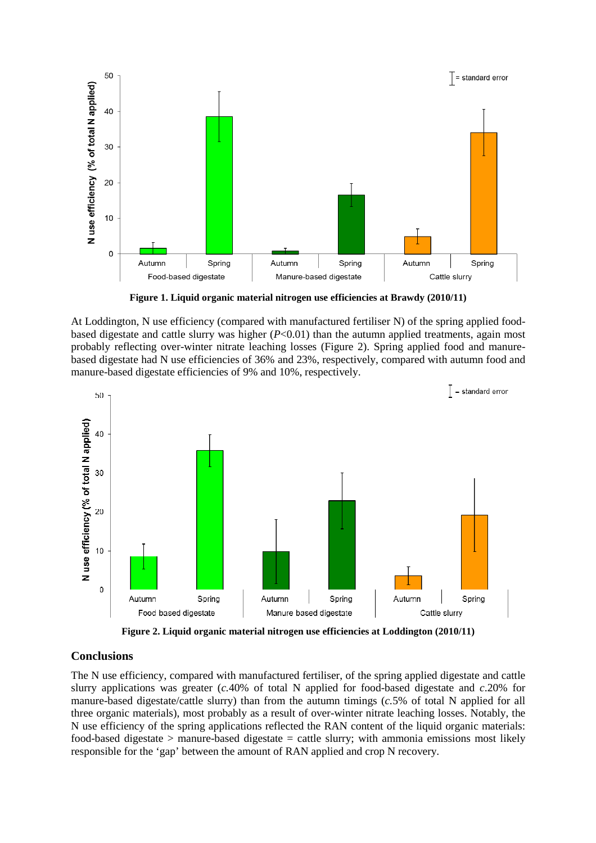

**Figure 1. Liquid organic material nitrogen use efficiencies at Brawdy (2010/11)** 

At Loddington, N use efficiency (compared with manufactured fertiliser N) of the spring applied foodbased digestate and cattle slurry was higher (*P*<0.01) than the autumn applied treatments, again most probably reflecting over-winter nitrate leaching losses (Figure 2). Spring applied food and manurebased digestate had N use efficiencies of 36% and 23%, respectively, compared with autumn food and manure-based digestate efficiencies of 9% and 10%, respectively.



**Figure 2. Liquid organic material nitrogen use efficiencies at Loddington (2010/11)** 

#### **Conclusions**

The N use efficiency, compared with manufactured fertiliser, of the spring applied digestate and cattle slurry applications was greater (*c.*40% of total N applied for food-based digestate and *c*.20% for manure-based digestate/cattle slurry) than from the autumn timings (*c.*5% of total N applied for all three organic materials), most probably as a result of over-winter nitrate leaching losses. Notably, the N use efficiency of the spring applications reflected the RAN content of the liquid organic materials: food-based digestate > manure-based digestate = cattle slurry; with ammonia emissions most likely responsible for the 'gap' between the amount of RAN applied and crop N recovery.